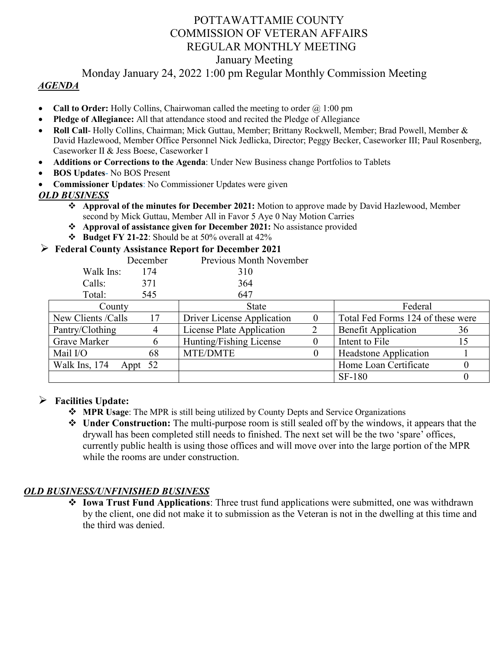# POTTAWATTAMIE COUNTY COMMISSION OF VETERAN AFFAIRS REGULAR MONTHLY MEETING January Meeting

## Monday January 24, 2022 1:00 pm Regular Monthly Commission Meeting

#### *AGENDA*

- **Call to Order:** Holly Collins, Chairwoman called the meeting to order  $\omega$  1:00 pm
- **Pledge of Allegiance:** All that attendance stood and recited the Pledge of Allegiance
- **Roll Call** Holly Collins, Chairman; Mick Guttau, Member; Brittany Rockwell, Member; Brad Powell, Member & David Hazlewood, Member Office Personnel Nick Jedlicka, Director; Peggy Becker, Caseworker III; Paul Rosenberg, Caseworker II & Jess Boese, Caseworker I
- **Additions or Corrections to the Agenda**: Under New Business change Portfolios to Tablets
- **BOS Updates** No BOS Present
- **Commissioner Updates**: No Commissioner Updates were given

### *OLD BUSINESS*

- **Approval of the minutes for December 2021:** Motion to approve made by David Hazlewood, Member second by Mick Guttau, Member All in Favor 5 Aye 0 Nay Motion Carries
- **Approval of assistance given for December 2021:** No assistance provided
- **Budget FY 21-22**: Should be at 50% overall at 42%

#### **Federal County Assistance Report for December 2021**

|           | December | Previous Month November |
|-----------|----------|-------------------------|
| Walk Ins: | 174      | 310                     |
| Calls:    | 371      | 364                     |
| Total:    | 545      | 647                     |
|           |          |                         |

| TULCII.             | JTJ.    | $U$ T $l$                  |  |                                   |    |
|---------------------|---------|----------------------------|--|-----------------------------------|----|
| County              |         | <b>State</b>               |  | Federal                           |    |
| New Clients / Calls |         | Driver License Application |  | Total Fed Forms 124 of these were |    |
| Pantry/Clothing     |         | License Plate Application  |  | <b>Benefit Application</b>        | 36 |
| <b>Grave Marker</b> |         | Hunting/Fishing License    |  | Intent to File                    |    |
| Mail I/O            | 68      | <b>MTE/DMTE</b>            |  | <b>Headstone Application</b>      |    |
| Walk Ins, 174       | Appt 52 |                            |  | Home Loan Certificate             |    |
|                     |         |                            |  | <b>SF-180</b>                     |    |

#### **Facilities Update:**

- **MPR Usage**: The MPR is still being utilized by County Depts and Service Organizations
- **Under Construction:** The multi-purpose room is still sealed off by the windows, it appears that the drywall has been completed still needs to finished. The next set will be the two 'spare' offices, currently public health is using those offices and will move over into the large portion of the MPR while the rooms are under construction.

## *OLD BUSINESS/UNFINISHED BUSINESS*

 **Iowa Trust Fund Applications**: Three trust fund applications were submitted, one was withdrawn by the client, one did not make it to submission as the Veteran is not in the dwelling at this time and the third was denied.